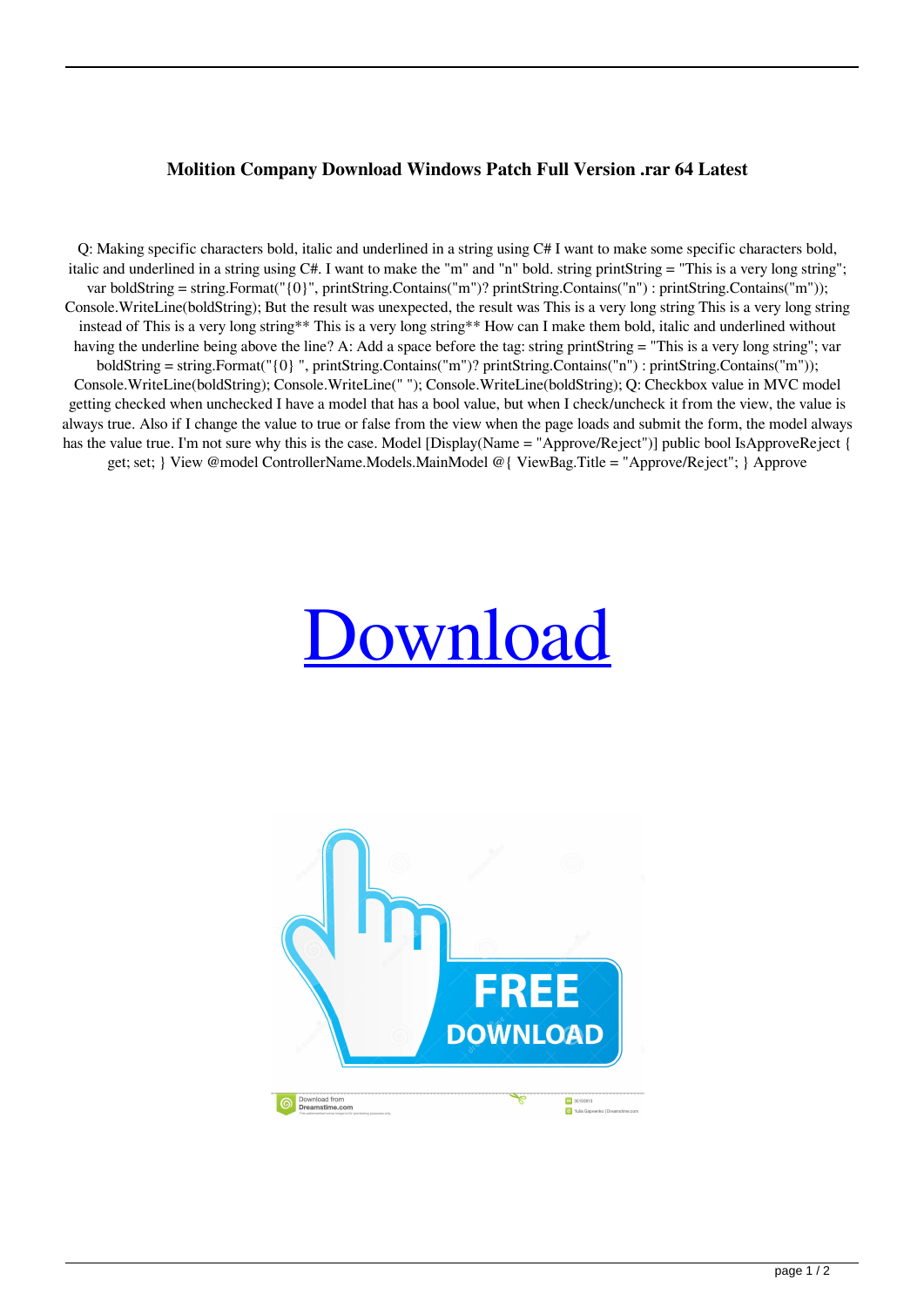## **Molition Company Download Windows Patch Full Version .rar 64 Latest**

Q: Making specific characters bold, italic and underlined in a string using C# I want to make some specific characters bold, italic and underlined in a string using C#. I want to make the "m" and "n" bold. string printString = "This is a very long string"; var boldString = string.Format("{0}", printString.Contains("m")? printString.Contains("n") : printString.Contains("m")); Console.WriteLine(boldString); But the result was unexpected, the result was This is a very long string This is a very long string instead of This is a very long string\*\* This is a very long string\*\* How can I make them bold, italic and underlined without having the underline being above the line? A: Add a space before the tag: string printString = "This is a very long string"; var boldString = string.Format("{0} ", printString.Contains("m")? printString.Contains("n") : printString.Contains("m")); Console.WriteLine(boldString); Console.WriteLine(" "); Console.WriteLine(boldString); Q: Checkbox value in MVC model getting checked when unchecked I have a model that has a bool value, but when I check/uncheck it from the view, the value is always true. Also if I change the value to true or false from the view when the page loads and submit the form, the model always has the value true. I'm not sure why this is the case. Model [Display(Name = "Approve/Reject")] public bool IsApproveReject { get; set; } View @model ControllerName.Models.MainModel @{ ViewBag.Title = "Approve/Reject"; } Approve